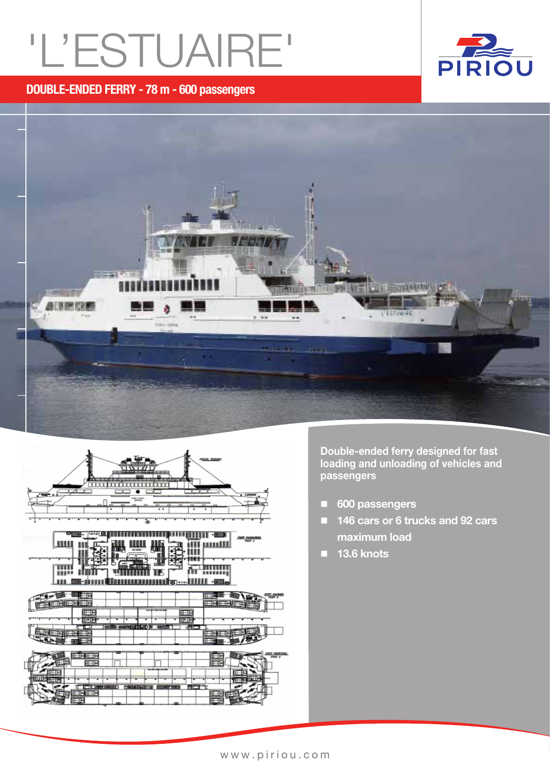# 'L'ESTUAIRE'









Double-ended ferry designed for fast loading and unloading of vehicles and passengers

- 600 passengers
- 146 cars or 6 trucks and 92 cars maximum load
- $\blacksquare$  13.6 knots